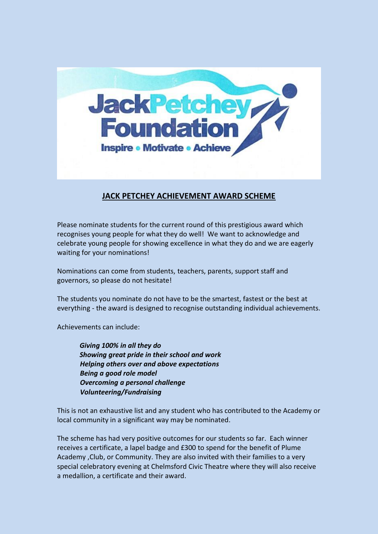

## **JACK PETCHEY ACHIEVEMENT AWARD SCHEME**

Please nominate students for the current round of this prestigious award which recognises young people for what they do well! We want to acknowledge and celebrate young people for showing excellence in what they do and we are eagerly waiting for your nominations!

Nominations can come from students, teachers, parents, support staff and governors, so please do not hesitate!

The students you nominate do not have to be the smartest, fastest or the best at everything - the award is designed to recognise outstanding individual achievements.

Achievements can include:

 *Giving 100% in all they do Showing great pride in their school and work Helping others over and above expectations Being a good role model Overcoming a personal challenge Volunteering/Fundraising*

This is not an exhaustive list and any student who has contributed to the Academy or local community in a significant way may be nominated.

The scheme has had very positive outcomes for our students so far. Each winner receives a certificate, a lapel badge and £300 to spend for the benefit of Plume Academy ,Club, or Community. They are also invited with their families to a very special celebratory evening at Chelmsford Civic Theatre where they will also receive a medallion, a certificate and their award.